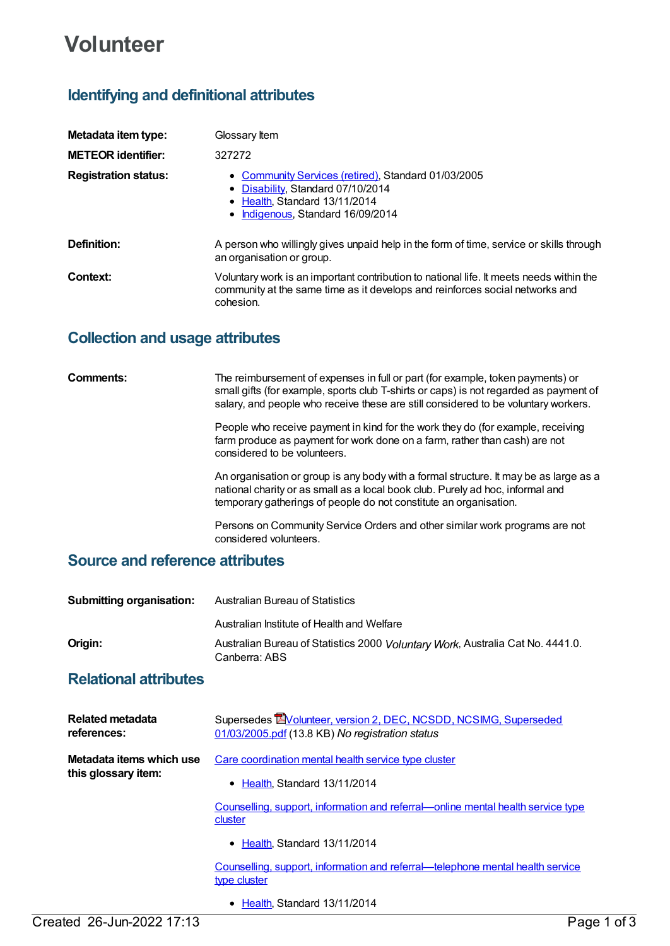# **Volunteer**

## **Identifying and definitional attributes**

| Metadata item type:         | Glossary Item                                                                                                                                                                        |
|-----------------------------|--------------------------------------------------------------------------------------------------------------------------------------------------------------------------------------|
| <b>METEOR</b> identifier:   | 327272                                                                                                                                                                               |
| <b>Registration status:</b> | • Community Services (retired), Standard 01/03/2005<br>• Disability, Standard 07/10/2014<br>• Health Standard 13/11/2014<br>• Indigenous, Standard 16/09/2014                        |
| Definition:                 | A person who willingly gives unpaid help in the form of time, service or skills through<br>an organisation or group.                                                                 |
| Context:                    | Voluntary work is an important contribution to national life. It meets needs within the<br>community at the same time as it develops and reinforces social networks and<br>cohesion. |

#### **Collection and usage attributes**

**Comments:** The reimbursement of expenses in full or part (for example, token payments) or small gifts (for example, sports club T-shirts or caps) is not regarded as payment of salary, and people who receive these are still considered to be voluntary workers.

> People who receive payment in kind for the work they do (for example, receiving farm produce as payment for work done on a farm, rather than cash) are not considered to be volunteers.

An organisation or group is any body with a formal structure. It may be as large as a national charity or as small as a local book club. Purely ad hoc, informal and temporary gatherings of people do not constitute an organisation.

Persons on Community Service Orders and other similar work programs are not considered volunteers.

### **Source and reference attributes**

| <b>Submitting organisation:</b> | Australian Bureau of Statistics                                                                 |
|---------------------------------|-------------------------------------------------------------------------------------------------|
|                                 | Australian Institute of Health and Welfare                                                      |
| Origin:                         | Australian Bureau of Statistics 2000 Voluntary Work, Australia Cat No. 4441.0.<br>Canberra: ABS |

#### **Relational attributes**

| Related metadata<br>references:                 | Supersedes <b>EVolunteer</b> , version 2, DEC, NCSDD, NCSIMG, Superseded<br>01/03/2005.pdf (13.8 KB) No registration status |
|-------------------------------------------------|-----------------------------------------------------------------------------------------------------------------------------|
| Metadata items which use<br>this glossary item: | Care coordination mental health service type cluster                                                                        |
|                                                 | • Health Standard 13/11/2014                                                                                                |
|                                                 | Counselling, support, information and referral—online mental health service type<br>cluster                                 |
|                                                 | • Health, Standard 13/11/2014                                                                                               |
|                                                 | Counselling, support, information and referral—telephone mental health service<br>type cluster                              |
|                                                 | • Health, Standard 13/11/2014                                                                                               |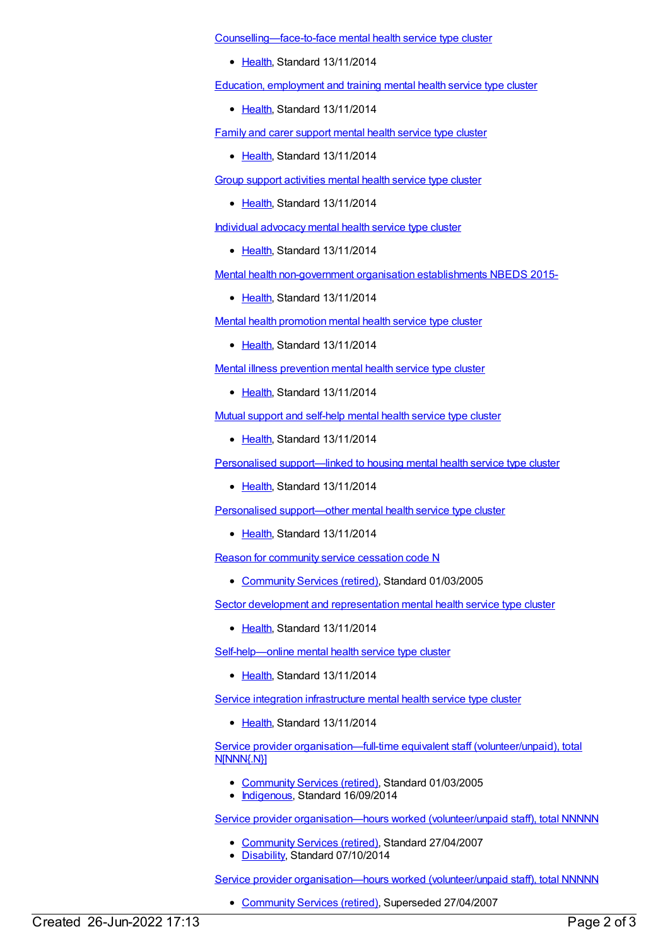[Counselling—face-to-face](https://meteor.aihw.gov.au/content/494740) mental health service type cluster

• [Health](https://meteor.aihw.gov.au/RegistrationAuthority/12), Standard 13/11/2014

Education, [employment](https://meteor.aihw.gov.au/content/494843) and training mental health service type cluster

[Health](https://meteor.aihw.gov.au/RegistrationAuthority/12), Standard 13/11/2014

Family and carer [support](https://meteor.aihw.gov.au/content/494834) mental health service type cluster

• [Health](https://meteor.aihw.gov.au/RegistrationAuthority/12), Standard 13/11/2014

Group support [activities](https://meteor.aihw.gov.au/content/494822) mental health service type cluster

• [Health](https://meteor.aihw.gov.au/RegistrationAuthority/12), Standard 13/11/2014

Individual [advocacy](https://meteor.aihw.gov.au/content/494837) mental health service type cluster

• [Health](https://meteor.aihw.gov.au/RegistrationAuthority/12), Standard 13/11/2014

Mental health [non-government](https://meteor.aihw.gov.au/content/494729) organisation establishments NBEDS 2015-

[Health](https://meteor.aihw.gov.au/RegistrationAuthority/12), Standard 13/11/2014

Mental health [promotion](https://meteor.aihw.gov.au/content/494847) mental health service type cluster

• [Health](https://meteor.aihw.gov.au/RegistrationAuthority/12), Standard 13/11/2014

Mental illness [prevention](https://meteor.aihw.gov.au/content/494850) mental health service type cluster

• [Health](https://meteor.aihw.gov.au/RegistrationAuthority/12), Standard 13/11/2014

Mutual support and [self-help](https://meteor.aihw.gov.au/content/494824) mental health service type cluster

• [Health](https://meteor.aihw.gov.au/RegistrationAuthority/12), Standard 13/11/2014

Personalised [support—linked](https://meteor.aihw.gov.au/content/494828) to housing mental health service type cluster

• [Health](https://meteor.aihw.gov.au/RegistrationAuthority/12), Standard 13/11/2014

Personalised [support—other](https://meteor.aihw.gov.au/content/494830) mental health service type cluster

• [Health](https://meteor.aihw.gov.au/RegistrationAuthority/12), Standard 13/11/2014

Reason for [community](https://meteor.aihw.gov.au/content/270692) service cessation code N

• [Community](https://meteor.aihw.gov.au/RegistrationAuthority/1) Services (retired), Standard 01/03/2005

Sector development and [representation](https://meteor.aihw.gov.au/content/494845) mental health service type cluster

• [Health](https://meteor.aihw.gov.au/RegistrationAuthority/12), Standard 13/11/2014

[Self-help—online](https://meteor.aihw.gov.au/content/494820) mental health service type cluster

• [Health](https://meteor.aihw.gov.au/RegistrationAuthority/12), Standard 13/11/2014

Service integration [infrastructure](https://meteor.aihw.gov.au/content/494841) mental health service type cluster

• [Health](https://meteor.aihw.gov.au/RegistrationAuthority/12), Standard 13/11/2014

Service provider [organisation—full-time](https://meteor.aihw.gov.au/content/270214) equivalent staff (volunteer/unpaid), total N[NNN{.N}]

- [Community](https://meteor.aihw.gov.au/RegistrationAuthority/1) Services (retired), Standard 01/03/2005
- [Indigenous](https://meteor.aihw.gov.au/RegistrationAuthority/6), Standard 16/09/2014

Service provider [organisation—hours](https://meteor.aihw.gov.au/content/347882) worked (volunteer/unpaid staff), total NNNNN

- [Community](https://meteor.aihw.gov.au/RegistrationAuthority/1) Services (retired), Standard 27/04/2007
- [Disability](https://meteor.aihw.gov.au/RegistrationAuthority/16), Standard 07/10/2014

Service provider [organisation—hours](https://meteor.aihw.gov.au/content/270211) worked (volunteer/unpaid staff), total NNNNN

[Community](https://meteor.aihw.gov.au/RegistrationAuthority/1) Services (retired), Superseded 27/04/2007